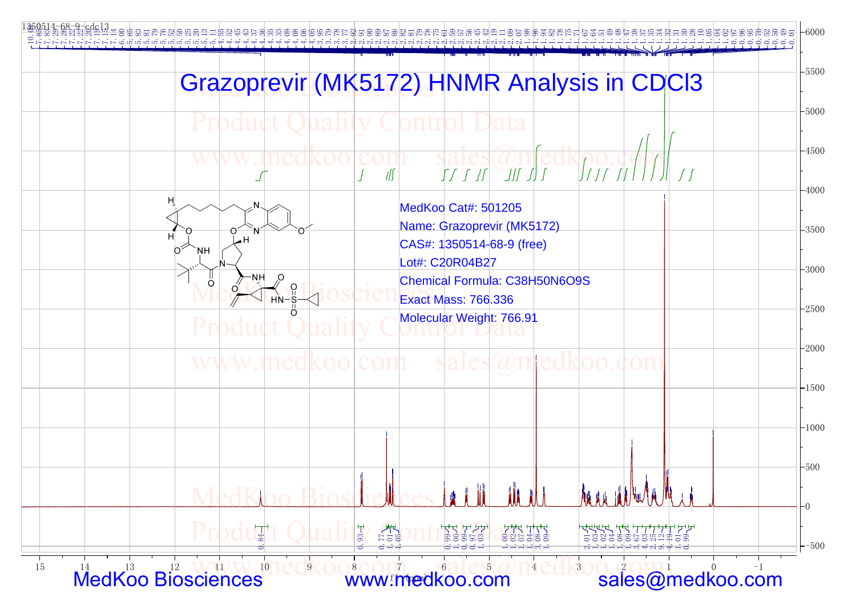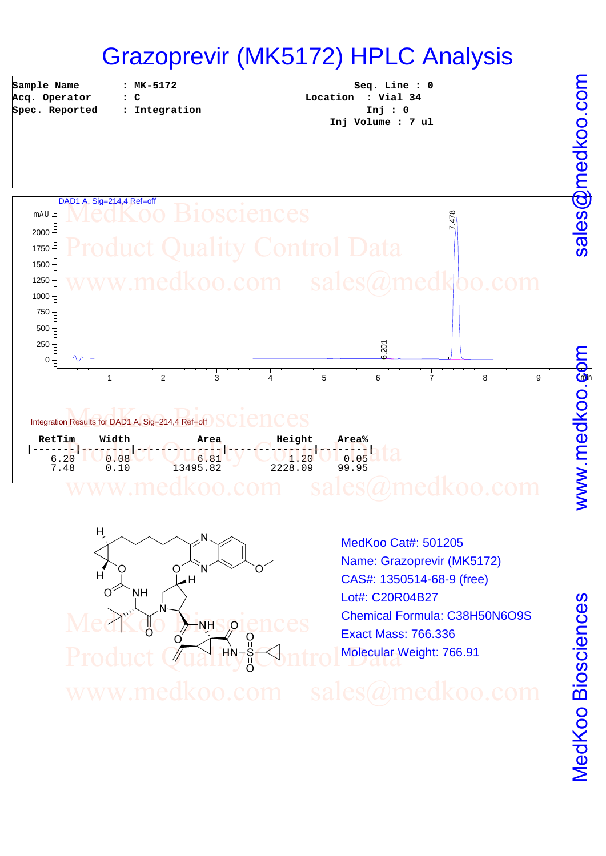## Grazoprevir (MK5172) HPLC Analysis

**Sample Name Acq. Operator Spec. Reported** 

**: MK-5172 : C**

**: Integration**

**Seq. Line : 0 Location : Vial 34 Inj : 0 Inj Volume : 7 ul**





MedKoo Cat#: 501205 Name: Grazoprevir (MK5172) CAS#: 1350514-68-9 (free) Lot#: C20R04B27 Chemical Formula: C38H50N6O9S Exact Mass: 766.336 Molecular Weight: 766.91